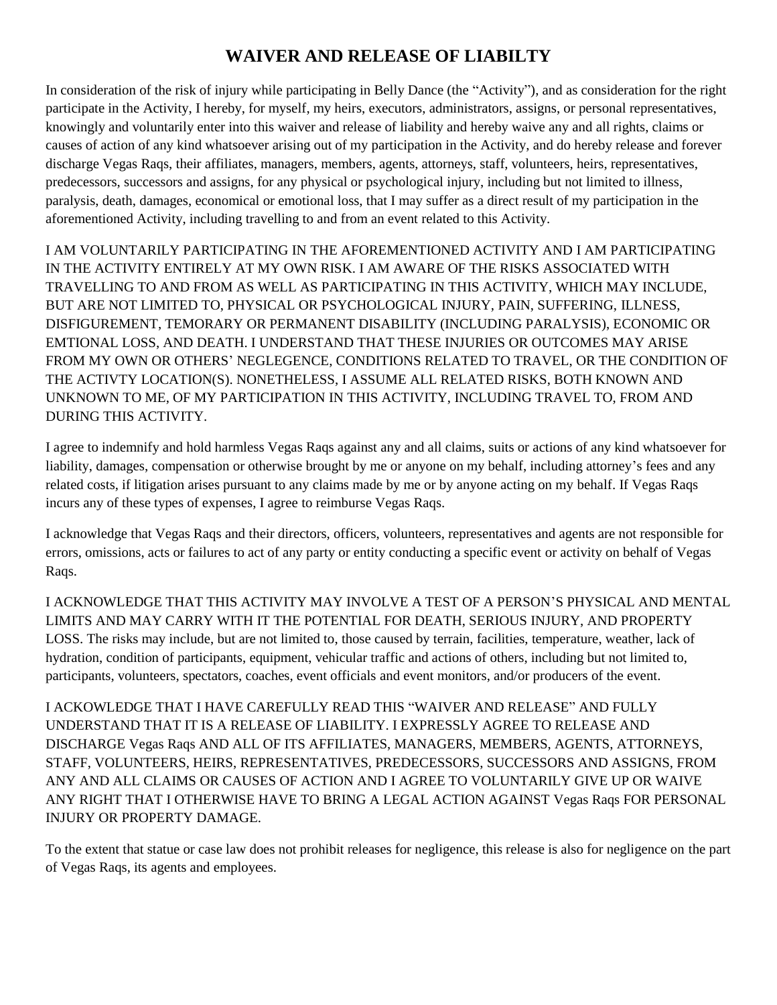## **WAIVER AND RELEASE OF LIABILTY**

In consideration of the risk of injury while participating in Belly Dance (the "Activity"), and as consideration for the right participate in the Activity, I hereby, for myself, my heirs, executors, administrators, assigns, or personal representatives, knowingly and voluntarily enter into this waiver and release of liability and hereby waive any and all rights, claims or causes of action of any kind whatsoever arising out of my participation in the Activity, and do hereby release and forever discharge Vegas Raqs, their affiliates, managers, members, agents, attorneys, staff, volunteers, heirs, representatives, predecessors, successors and assigns, for any physical or psychological injury, including but not limited to illness, paralysis, death, damages, economical or emotional loss, that I may suffer as a direct result of my participation in the aforementioned Activity, including travelling to and from an event related to this Activity.

I AM VOLUNTARILY PARTICIPATING IN THE AFOREMENTIONED ACTIVITY AND I AM PARTICIPATING IN THE ACTIVITY ENTIRELY AT MY OWN RISK. I AM AWARE OF THE RISKS ASSOCIATED WITH TRAVELLING TO AND FROM AS WELL AS PARTICIPATING IN THIS ACTIVITY, WHICH MAY INCLUDE, BUT ARE NOT LIMITED TO, PHYSICAL OR PSYCHOLOGICAL INJURY, PAIN, SUFFERING, ILLNESS, DISFIGUREMENT, TEMORARY OR PERMANENT DISABILITY (INCLUDING PARALYSIS), ECONOMIC OR EMTIONAL LOSS, AND DEATH. I UNDERSTAND THAT THESE INJURIES OR OUTCOMES MAY ARISE FROM MY OWN OR OTHERS' NEGLEGENCE, CONDITIONS RELATED TO TRAVEL, OR THE CONDITION OF THE ACTIVTY LOCATION(S). NONETHELESS, I ASSUME ALL RELATED RISKS, BOTH KNOWN AND UNKNOWN TO ME, OF MY PARTICIPATION IN THIS ACTIVITY, INCLUDING TRAVEL TO, FROM AND DURING THIS ACTIVITY.

I agree to indemnify and hold harmless Vegas Raqs against any and all claims, suits or actions of any kind whatsoever for liability, damages, compensation or otherwise brought by me or anyone on my behalf, including attorney's fees and any related costs, if litigation arises pursuant to any claims made by me or by anyone acting on my behalf. If Vegas Raqs incurs any of these types of expenses, I agree to reimburse Vegas Raqs.

I acknowledge that Vegas Raqs and their directors, officers, volunteers, representatives and agents are not responsible for errors, omissions, acts or failures to act of any party or entity conducting a specific event or activity on behalf of Vegas Raqs.

I ACKNOWLEDGE THAT THIS ACTIVITY MAY INVOLVE A TEST OF A PERSON'S PHYSICAL AND MENTAL LIMITS AND MAY CARRY WITH IT THE POTENTIAL FOR DEATH, SERIOUS INJURY, AND PROPERTY LOSS. The risks may include, but are not limited to, those caused by terrain, facilities, temperature, weather, lack of hydration, condition of participants, equipment, vehicular traffic and actions of others, including but not limited to, participants, volunteers, spectators, coaches, event officials and event monitors, and/or producers of the event.

I ACKOWLEDGE THAT I HAVE CAREFULLY READ THIS "WAIVER AND RELEASE" AND FULLY UNDERSTAND THAT IT IS A RELEASE OF LIABILITY. I EXPRESSLY AGREE TO RELEASE AND DISCHARGE Vegas Raqs AND ALL OF ITS AFFILIATES, MANAGERS, MEMBERS, AGENTS, ATTORNEYS, STAFF, VOLUNTEERS, HEIRS, REPRESENTATIVES, PREDECESSORS, SUCCESSORS AND ASSIGNS, FROM ANY AND ALL CLAIMS OR CAUSES OF ACTION AND I AGREE TO VOLUNTARILY GIVE UP OR WAIVE ANY RIGHT THAT I OTHERWISE HAVE TO BRING A LEGAL ACTION AGAINST Vegas Raqs FOR PERSONAL INJURY OR PROPERTY DAMAGE.

To the extent that statue or case law does not prohibit releases for negligence, this release is also for negligence on the part of Vegas Raqs, its agents and employees.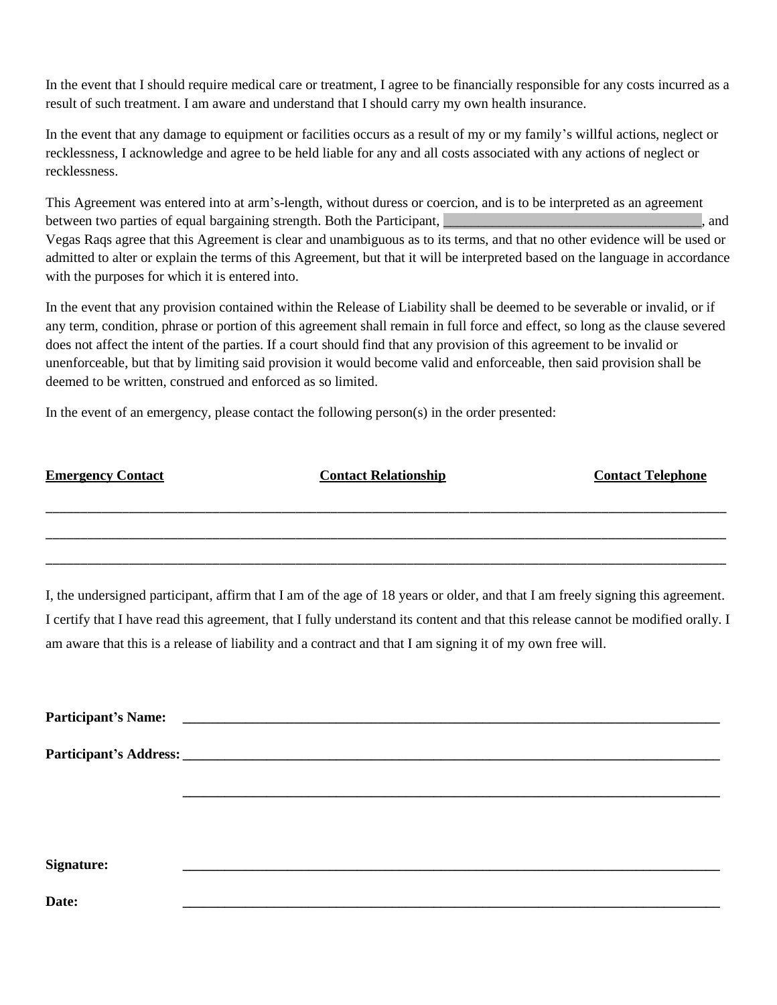In the event that I should require medical care or treatment, I agree to be financially responsible for any costs incurred as a result of such treatment. I am aware and understand that I should carry my own health insurance.

In the event that any damage to equipment or facilities occurs as a result of my or my family's willful actions, neglect or recklessness, I acknowledge and agree to be held liable for any and all costs associated with any actions of neglect or recklessness.

This Agreement was entered into at arm's-length, without duress or coercion, and is to be interpreted as an agreement between two parties of equal bargaining strength. Both the Participant, the contract of the contract of equal bargaining strength. Both the Participant, Vegas Raqs agree that this Agreement is clear and unambiguous as to its terms, and that no other evidence will be used or admitted to alter or explain the terms of this Agreement, but that it will be interpreted based on the language in accordance with the purposes for which it is entered into.

In the event that any provision contained within the Release of Liability shall be deemed to be severable or invalid, or if any term, condition, phrase or portion of this agreement shall remain in full force and effect, so long as the clause severed does not affect the intent of the parties. If a court should find that any provision of this agreement to be invalid or unenforceable, but that by limiting said provision it would become valid and enforceable, then said provision shall be deemed to be written, construed and enforced as so limited.

In the event of an emergency, please contact the following person(s) in the order presented:

| <b>Emergency Contact</b> | <b>Contact Relationship</b> | <b>Contact Telephone</b> |
|--------------------------|-----------------------------|--------------------------|
|                          |                             |                          |
|                          |                             |                          |

\_\_\_\_\_\_\_\_\_\_\_\_\_\_\_\_\_\_\_\_\_\_\_\_\_\_\_\_\_\_\_\_\_\_\_\_\_\_\_\_\_\_\_\_\_\_\_\_\_\_\_\_\_\_\_\_\_\_\_\_\_\_\_\_\_\_\_\_\_\_\_\_\_\_\_\_\_\_\_\_\_\_\_\_\_\_\_\_\_\_\_\_\_\_\_\_\_\_

\_\_\_\_\_\_\_\_\_\_\_\_\_\_\_\_\_\_\_\_\_\_\_\_\_\_\_\_\_\_\_\_\_\_\_\_\_\_\_\_\_\_\_\_\_\_\_\_\_\_\_\_\_\_\_\_\_\_\_\_\_\_\_\_\_\_\_\_\_\_\_\_\_\_\_\_\_\_\_\_\_\_\_\_\_\_\_\_\_\_\_\_\_\_\_\_\_\_

I, the undersigned participant, affirm that I am of the age of 18 years or older, and that I am freely signing this agreement. I certify that I have read this agreement, that I fully understand its content and that this release cannot be modified orally. I am aware that this is a release of liability and a contract and that I am signing it of my own free will.

| Signature: |  |  |  |
|------------|--|--|--|
| Date:      |  |  |  |